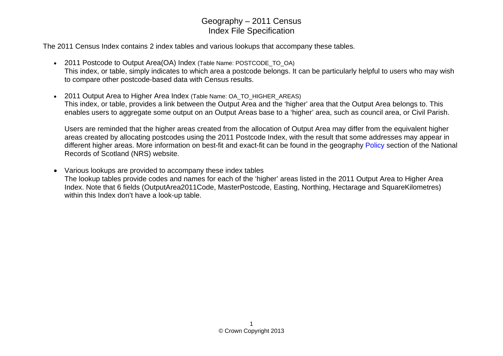The 2011 Census Index contains 2 index tables and various lookups that accompany these tables.

- 2011 Postcode to Output Area(OA) Index (Table Name: POSTCODE\_TO\_OA) This index, or table, simply indicates to which area a postcode belongs. It can be particularly helpful to users who may wish to compare other postcode-based data with Census results.
- 2011 Output Area to Higher Area Index (Table Name: OA\_TO\_HIGHER\_AREAS) This index, or table, provides a link between the Output Area and the 'higher' area that the Output Area belongs to. This enables users to aggregate some output on an Output Areas base to a 'higher' area, such as council area, or Civil Parish.

Users are reminded that the higher areas created from the allocation of Output Area may differ from the equivalent higher areas created by allocating postcodes using the 2011 Postcode Index, with the result that some addresses may appear in different higher areas. More information on best-fit and exact-fit can be found in the geography [Policy](http://www.nrscotland.gov.uk/statistics-and-data/geography/about-our-geography/policy) section of the National Records of Scotland (NRS) website.

• Various lookups are provided to accompany these index tables The lookup tables provide codes and names for each of the 'higher' areas listed in the 2011 Output Area to Higher Area Index. Note that 6 fields (OutputArea2011Code, MasterPostcode, Easting, Northing, Hectarage and SquareKilometres) within this Index don't have a look-up table.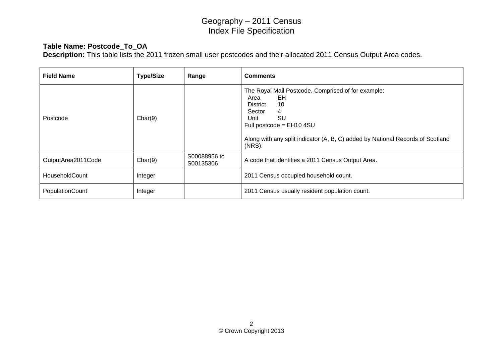### **Table Name: Postcode\_To\_OA**

**Description:** This table lists the 2011 frozen small user postcodes and their allocated 2011 Census Output Area codes.

| <b>Field Name</b>  | <b>Type/Size</b> | Range                     | <b>Comments</b>                                                                                                                                                                                                                              |
|--------------------|------------------|---------------------------|----------------------------------------------------------------------------------------------------------------------------------------------------------------------------------------------------------------------------------------------|
| Postcode           | Char(9)          |                           | The Royal Mail Postcode. Comprised of for example:<br>Area<br>EH<br>10<br>District<br>Sector<br>4<br>SU<br>Unit<br>Full postcode = $EH10$ 4SU<br>Along with any split indicator (A, B, C) added by National Records of Scotland<br>$(NRS)$ . |
| OutputArea2011Code | Char(9)          | S00088956 to<br>S00135306 | A code that identifies a 2011 Census Output Area.                                                                                                                                                                                            |
| HouseholdCount     | Integer          |                           | 2011 Census occupied household count.                                                                                                                                                                                                        |
| PopulationCount    | Integer          |                           | 2011 Census usually resident population count.                                                                                                                                                                                               |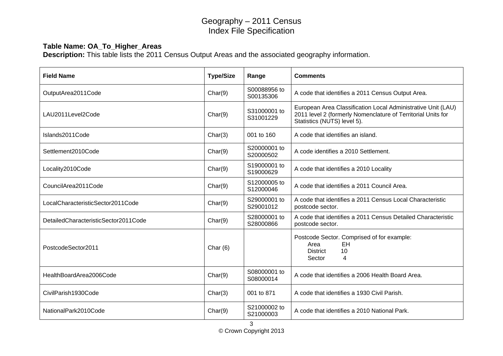### **Table Name: OA\_To\_Higher\_Areas**

**Description:** This table lists the 2011 Census Output Areas and the associated geography information.

| <b>Field Name</b>                    | <b>Type/Size</b> | Range                     | <b>Comments</b>                                                                                                                                             |
|--------------------------------------|------------------|---------------------------|-------------------------------------------------------------------------------------------------------------------------------------------------------------|
| OutputArea2011Code                   | Char(9)          | S00088956 to<br>S00135306 | A code that identifies a 2011 Census Output Area.                                                                                                           |
| LAU2011Level2Code                    | Char(9)          | S31000001 to<br>S31001229 | European Area Classification Local Administrative Unit (LAU)<br>2011 level 2 (formerly Nomenclature of Territorial Units for<br>Statistics (NUTS) level 5). |
| Islands2011Code                      | Char(3)          | 001 to 160                | A code that identifies an island.                                                                                                                           |
| Settlement2010Code                   | Char(9)          | S20000001 to<br>S20000502 | A code identifies a 2010 Settlement.                                                                                                                        |
| Locality2010Code                     | Char(9)          | S19000001 to<br>S19000629 | A code that identifies a 2010 Locality                                                                                                                      |
| CouncilArea2011Code                  | Char(9)          | S12000005 to<br>S12000046 | A code that identifies a 2011 Council Area.                                                                                                                 |
| LocalCharacteristicSector2011Code    | Char(9)          | S29000001 to<br>S29001012 | A code that identifies a 2011 Census Local Characteristic<br>postcode sector.                                                                               |
| DetailedCharacteristicSector2011Code | Char(9)          | S28000001 to<br>S28000866 | A code that identifies a 2011 Census Detailed Characteristic<br>postcode sector.                                                                            |
| PostcodeSector2011                   | Char $(6)$       |                           | Postcode Sector. Comprised of for example:<br>EH<br>Area<br>10<br><b>District</b><br>4<br>Sector                                                            |
| HealthBoardArea2006Code              | Char(9)          | S08000001 to<br>S08000014 | A code that identifies a 2006 Health Board Area.                                                                                                            |
| CivilParish1930Code                  | Char(3)          | 001 to 871                | A code that identifies a 1930 Civil Parish.                                                                                                                 |
| NationalPark2010Code                 | Char(9)          | S21000002 to<br>S21000003 | A code that identifies a 2010 National Park.                                                                                                                |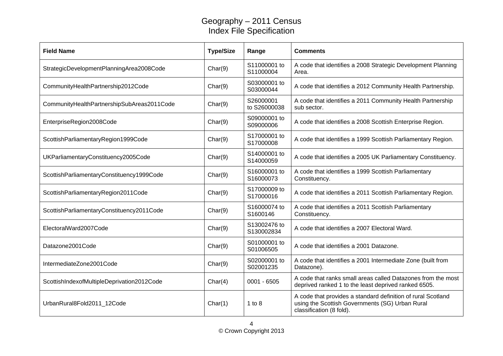| <b>Field Name</b>                          | <b>Type/Size</b> | Range                      | <b>Comments</b>                                                                                                                             |
|--------------------------------------------|------------------|----------------------------|---------------------------------------------------------------------------------------------------------------------------------------------|
| StrategicDevelopmentPlanningArea2008Code   | Char(9)          | S11000001 to<br>S11000004  | A code that identifies a 2008 Strategic Development Planning<br>Area.                                                                       |
| CommunityHealthPartnership2012Code         | Char(9)          | S03000001 to<br>S03000044  | A code that identifies a 2012 Community Health Partnership.                                                                                 |
| CommunityHealthPartnershipSubAreas2011Code | Char(9)          | S26000001<br>to S26000038  | A code that identifies a 2011 Community Health Partnership<br>sub sector.                                                                   |
| EnterpriseRegion2008Code                   | Char(9)          | S09000001 to<br>S09000006  | A code that identifies a 2008 Scottish Enterprise Region.                                                                                   |
| ScottishParliamentaryRegion1999Code        | Char(9)          | S17000001 to<br>S17000008  | A code that identifies a 1999 Scottish Parliamentary Region.                                                                                |
| UKParliamentaryConstituency2005Code        | Char(9)          | S14000001 to<br>S14000059  | A code that identifies a 2005 UK Parliamentary Constituency.                                                                                |
| ScottishParliamentaryConstituency1999Code  | Char(9)          | S16000001 to<br>S16000073  | A code that identifies a 1999 Scottish Parliamentary<br>Constituency.                                                                       |
| ScottishParliamentaryRegion2011Code        | Char(9)          | S17000009 to<br>S17000016  | A code that identifies a 2011 Scottish Parliamentary Region.                                                                                |
| ScottishParliamentaryConstituency2011Code  | Char(9)          | S16000074 to<br>S1600146   | A code that identifies a 2011 Scottish Parliamentary<br>Constituency.                                                                       |
| ElectoralWard2007Code                      | Char(9)          | S13002476 to<br>S130002834 | A code that identifies a 2007 Electoral Ward.                                                                                               |
| Datazone2001Code                           | Char(9)          | S01000001 to<br>S01006505  | A code that identifies a 2001 Datazone.                                                                                                     |
| IntermediateZone2001Code                   | Char(9)          | S02000001 to<br>S02001235  | A code that identifies a 2001 Intermediate Zone (built from<br>Datazone).                                                                   |
| ScottishIndexofMultipleDeprivation2012Code | Char(4)          | $0001 - 6505$              | A code that ranks small areas called Datazones from the most<br>deprived ranked 1 to the least deprived ranked 6505.                        |
| UrbanRural8Fold2011_12Code                 | Char(1)          | 1 to 8                     | A code that provides a standard definition of rural Scotland<br>using the Scottish Governments (SG) Urban Rural<br>classification (8 fold). |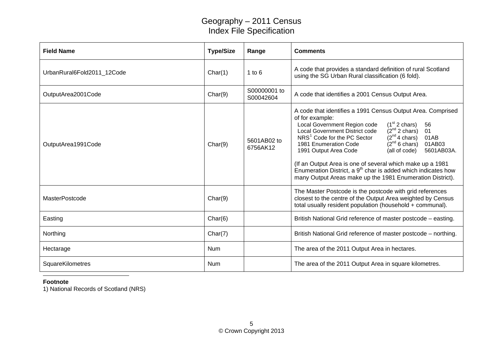| <b>Field Name</b>          | <b>Type/Size</b> | Range                     | <b>Comments</b>                                                                                                                                                                                                                                                                                                                                                                                                                                                                                                                                                                                                                  |
|----------------------------|------------------|---------------------------|----------------------------------------------------------------------------------------------------------------------------------------------------------------------------------------------------------------------------------------------------------------------------------------------------------------------------------------------------------------------------------------------------------------------------------------------------------------------------------------------------------------------------------------------------------------------------------------------------------------------------------|
| UrbanRural6Fold2011 12Code | Char(1)          | 1 to $6$                  | A code that provides a standard definition of rural Scotland<br>using the SG Urban Rural classification (6 fold).                                                                                                                                                                                                                                                                                                                                                                                                                                                                                                                |
| OutputArea2001Code         | Char(9)          | S00000001 to<br>S00042604 | A code that identifies a 2001 Census Output Area.                                                                                                                                                                                                                                                                                                                                                                                                                                                                                                                                                                                |
| OutputArea1991Code         | Char(9)          | 5601AB02 to<br>6756AK12   | A code that identifies a 1991 Census Output Area. Comprised<br>of for example:<br>$(1st 2 \text{ chars})$<br>Local Government Region code<br>56<br>$(2^{nd} 2 \text{ chars})$<br>Local Government District code<br>01<br>01AB<br>NRS <sup>1</sup> Code for the PC Sector<br>$(2nd 4 \text{ chars})$<br>$(2nd 6 \text{ chars})$<br>01AB03<br>1981 Enumeration Code<br>5601AB03A.<br>(all of code)<br>1991 Output Area Code<br>(If an Output Area is one of several which make up a 1981<br>Enumeration District, a 9 <sup>th</sup> char is added which indicates how<br>many Output Areas make up the 1981 Enumeration District). |
| <b>MasterPostcode</b>      | Char(9)          |                           | The Master Postcode is the postcode with grid references<br>closest to the centre of the Output Area weighted by Census<br>total usually resident population (household + communal).                                                                                                                                                                                                                                                                                                                                                                                                                                             |
| Easting                    | Char(6)          |                           | British National Grid reference of master postcode – easting.                                                                                                                                                                                                                                                                                                                                                                                                                                                                                                                                                                    |
| Northing                   | Char(7)          |                           | British National Grid reference of master postcode – northing.                                                                                                                                                                                                                                                                                                                                                                                                                                                                                                                                                                   |
| Hectarage                  | <b>Num</b>       |                           | The area of the 2011 Output Area in hectares.                                                                                                                                                                                                                                                                                                                                                                                                                                                                                                                                                                                    |
| SquareKilometres           | <b>Num</b>       |                           | The area of the 2011 Output Area in square kilometres.                                                                                                                                                                                                                                                                                                                                                                                                                                                                                                                                                                           |

**Footnote**

<span id="page-4-0"></span>1) National Records of Scotland (NRS)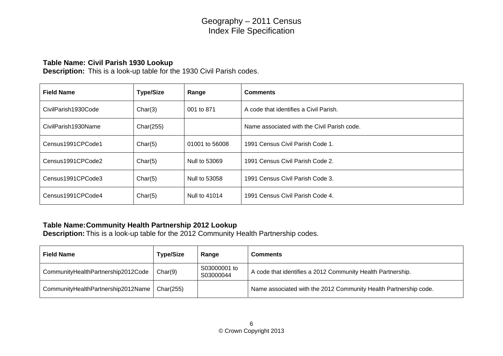#### **Table Name: Civil Parish 1930 Lookup**

**Description:** This is a look-up table for the 1930 Civil Parish codes.

| <b>Field Name</b>   | <b>Type/Size</b> | Range          | <b>Comments</b>                             |
|---------------------|------------------|----------------|---------------------------------------------|
| CivilParish1930Code | Char(3)          | 001 to 871     | A code that identifies a Civil Parish.      |
| CivilParish1930Name | Char(255)        |                | Name associated with the Civil Parish code. |
| Census1991CPCode1   | Char(5)          | 01001 to 56008 | 1991 Census Civil Parish Code 1.            |
| Census1991CPCode2   | Char(5)          | Null to 53069  | 1991 Census Civil Parish Code 2.            |
| Census1991CPCode3   | Char(5)          | Null to 53058  | 1991 Census Civil Parish Code 3.            |
| Census1991CPCode4   | Char(5)          | Null to 41014  | 1991 Census Civil Parish Code 4.            |

### **Table Name: Community Health Partnership 2012 Lookup**

**Description:** This is a look-up table for the 2012 Community Health Partnership codes.

| <b>Field Name</b>                  | <b>Type/Size</b> | Range                     | <b>Comments</b>                                                  |
|------------------------------------|------------------|---------------------------|------------------------------------------------------------------|
| CommunityHealthPartnership2012Code | Char(9)          | S03000001 to<br>S03000044 | A code that identifies a 2012 Community Health Partnership.      |
| CommunityHealthPartnership2012Name | Char(255)        |                           | Name associated with the 2012 Community Health Partnership code. |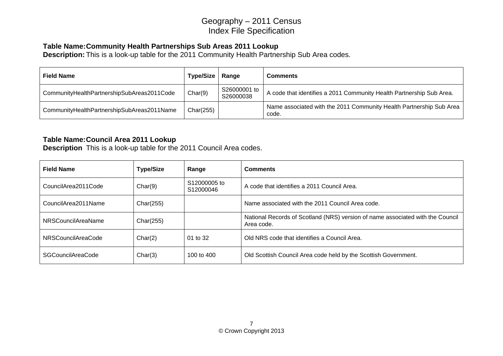### **Table Name: Community Health Partnerships Sub Areas 2011 Lookup**

**Description:** This is a look-up table for the 2011 Community Health Partnership Sub Area codes.

| <b>Field Name</b>                          | <b>Type/Size</b> | Range                     | <b>Comments</b>                                                              |
|--------------------------------------------|------------------|---------------------------|------------------------------------------------------------------------------|
| CommunityHealthPartnershipSubAreas2011Code | Char(9)          | S26000001 to<br>S26000038 | A code that identifies a 2011 Community Health Partnership Sub Area.         |
| CommunityHealthPartnershipSubAreas2011Name | Char(255)        |                           | Name associated with the 2011 Community Health Partnership Sub Area<br>code. |

### **Table Name: Council Area 2011 Lookup**

**Description** This is a look-up table for the 2011 Council Area codes.

| <b>Field Name</b>         | <b>Type/Size</b> | Range                     | <b>Comments</b>                                                                              |
|---------------------------|------------------|---------------------------|----------------------------------------------------------------------------------------------|
| CouncilArea2011Code       | Char(9)          | S12000005 to<br>S12000046 | A code that identifies a 2011 Council Area.                                                  |
| CouncilArea2011Name       | Char(255)        |                           | Name associated with the 2011 Council Area code.                                             |
| <b>NRSCouncilAreaName</b> | Char(255)        |                           | National Records of Scotland (NRS) version of name associated with the Council<br>Area code. |
| NRSCouncilAreaCode        | Char(2)          | 01 to 32                  | Old NRS code that identifies a Council Area.                                                 |
| <b>SGCouncilAreaCode</b>  | Char(3)          | 100 to 400                | Old Scottish Council Area code held by the Scottish Government.                              |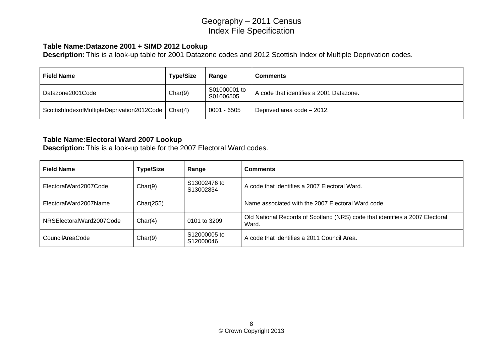#### **Table Name: Datazone 2001 + SIMD 2012 Lookup**

**Description:** This is a look-up table for 2001 Datazone codes and 2012 Scottish Index of Multiple Deprivation codes.

| <b>Field Name</b>                                    | <b>Type/Size</b> | Range                     | <b>Comments</b>                         |
|------------------------------------------------------|------------------|---------------------------|-----------------------------------------|
| Datazone2001Code                                     | Char(9)          | S01000001 to<br>S01006505 | A code that identifies a 2001 Datazone. |
| ScottishIndexofMultipleDeprivation2012Code   Char(4) |                  | $0001 - 6505$             | Deprived area code - 2012.              |

#### **Table Name: Electoral Ward 2007 Lookup**

**Description:** This is a look-up table for the 2007 Electoral Ward codes.

| <b>Field Name</b>        | <b>Type/Size</b> | Range                     | <b>Comments</b>                                                                       |
|--------------------------|------------------|---------------------------|---------------------------------------------------------------------------------------|
| ElectoralWard2007Code    | Char(9)          | S13002476 to<br>S13002834 | A code that identifies a 2007 Electoral Ward.                                         |
| ElectoralWard2007Name    | Char(255)        |                           | Name associated with the 2007 Electoral Ward code.                                    |
| NRSElectoralWard2007Code | Char(4)          | 0101 to 3209              | Old National Records of Scotland (NRS) code that identifies a 2007 Electoral<br>Ward. |
| CouncilAreaCode          | Char(9)          | S12000005 to<br>S12000046 | A code that identifies a 2011 Council Area.                                           |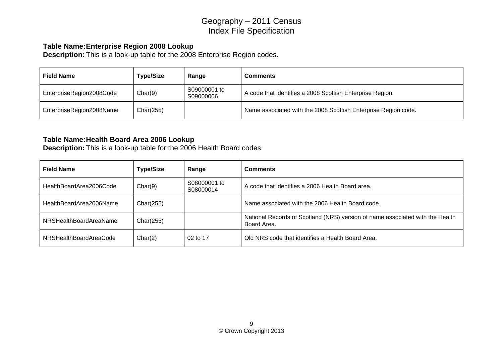#### **Table Name: Enterprise Region 2008 Lookup**

**Description:** This is a look-up table for the 2008 Enterprise Region codes.

| <b>Field Name</b>        | <b>Type/Size</b> | Range                     | <b>Comments</b>                                                |
|--------------------------|------------------|---------------------------|----------------------------------------------------------------|
| EnterpriseRegion2008Code | Char(9)          | S09000001 to<br>S09000006 | A code that identifies a 2008 Scottish Enterprise Region.      |
| EnterpriseRegion2008Name | Char(255)        |                           | Name associated with the 2008 Scottish Enterprise Region code. |

#### **Table Name: Health Board Area 2006 Lookup**

**Description:** This is a look-up table for the 2006 Health Board codes.

| <b>Field Name</b>       | <b>Type/Size</b> | Range                     | <b>Comments</b>                                                                              |
|-------------------------|------------------|---------------------------|----------------------------------------------------------------------------------------------|
| HealthBoardArea2006Code | Char(9)          | S08000001 to<br>S08000014 | A code that identifies a 2006 Health Board area.                                             |
| HealthBoardArea2006Name | Char(255)        |                           | Name associated with the 2006 Health Board code.                                             |
| NRSHealthBoardAreaName  | Char(255)        |                           | National Records of Scotland (NRS) version of name associated with the Health<br>Board Area. |
| NRSHealthBoardAreaCode  | Char(2)          | 02 to 17                  | Old NRS code that identifies a Health Board Area.                                            |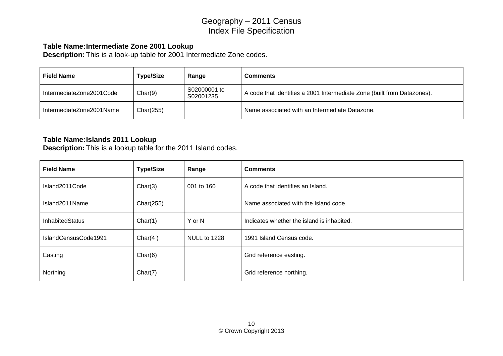### **Table Name: Intermediate Zone 2001 Lookup**

**Description:** This is a look-up table for 2001 Intermediate Zone codes.

| <b>Field Name</b>        | <b>Type/Size</b> | Range                     | <b>Comments</b>                                                         |
|--------------------------|------------------|---------------------------|-------------------------------------------------------------------------|
| IntermediateZone2001Code | Char(9)          | S02000001 to<br>S02001235 | A code that identifies a 2001 Intermediate Zone (built from Datazones). |
| IntermediateZone2001Name | Char(255)        |                           | Name associated with an Intermediate Datazone.                          |

#### **Table Name: Islands 2011 Lookup**

**Description:** This is a lookup table for the 2011 Island codes.

| <b>Field Name</b>      | <b>Type/Size</b> | Range        | <b>Comments</b>                            |
|------------------------|------------------|--------------|--------------------------------------------|
| Island2011Code         | Char(3)          | 001 to 160   | A code that identifies an Island.          |
| Island2011Name         | Char(255)        |              | Name associated with the Island code.      |
| <b>InhabitedStatus</b> | Char(1)          | Y or N       | Indicates whether the island is inhabited. |
| IslandCensusCode1991   | Char $(4)$       | NULL to 1228 | 1991 Island Census code.                   |
| Easting                | Char(6)          |              | Grid reference easting.                    |
| Northing               | Char(7)          |              | Grid reference northing.                   |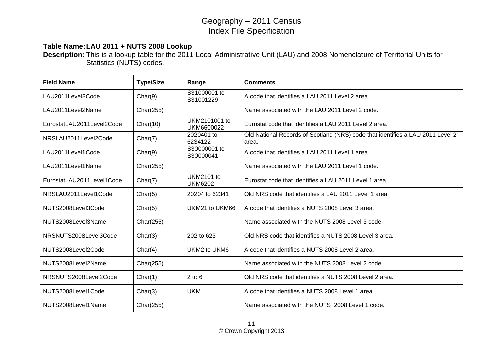#### **Table Name: LAU 2011 + NUTS 2008 Lookup**

**Description:** This is a lookup table for the 2011 Local Administrative Unit (LAU) and 2008 Nomenclature of Territorial Units for Statistics (NUTS) codes.

| <b>Field Name</b>         | <b>Type/Size</b> | Range                               | <b>Comments</b>                                                                         |
|---------------------------|------------------|-------------------------------------|-----------------------------------------------------------------------------------------|
| LAU2011Level2Code         | Char(9)          | S31000001 to<br>S31001229           | A code that identifies a LAU 2011 Level 2 area.                                         |
| LAU2011Level2Name         | Char(255)        |                                     | Name associated with the LAU 2011 Level 2 code.                                         |
| EurostatLAU2011Level2Code | Char(10)         | UKM2101001 to<br>UKM6600022         | Eurostat code that identifies a LAU 2011 Level 2 area.                                  |
| NRSLAU2011Level2Code      | Char(7)          | 2020401 to<br>6234122               | Old National Records of Scotland (NRS) code that identifies a LAU 2011 Level 2<br>area. |
| LAU2011Level1Code         | Char(9)          | S30000001 to<br>S30000041           | A code that identifies a LAU 2011 Level 1 area.                                         |
| LAU2011Level1Name         | Char(255)        |                                     | Name associated with the LAU 2011 Level 1 code.                                         |
| EurostatLAU2011Level1Code | Char(7)          | <b>UKM2101 to</b><br><b>UKM6202</b> | Eurostat code that identifies a LAU 2011 Level 1 area.                                  |
| NRSLAU2011Level1Code      | Char(5)          | 20204 to 62341                      | Old NRS code that identifies a LAU 2011 Level 1 area.                                   |
| NUTS2008Level3Code        | Char(5)          | UKM21 to UKM66                      | A code that identifies a NUTS 2008 Level 3 area.                                        |
| NUTS2008Level3Name        | Char(255)        |                                     | Name associated with the NUTS 2008 Level 3 code.                                        |
| NRSNUTS2008Level3Code     | Char(3)          | 202 to 623                          | Old NRS code that identifies a NUTS 2008 Level 3 area.                                  |
| NUTS2008Level2Code        | Char(4)          | UKM2 to UKM6                        | A code that identifies a NUTS 2008 Level 2 area.                                        |
| NUTS2008Level2Name        | Char(255)        |                                     | Name associated with the NUTS 2008 Level 2 code.                                        |
| NRSNUTS2008Level2Code     | Char(1)          | $2$ to $6$                          | Old NRS code that identifies a NUTS 2008 Level 2 area.                                  |
| NUTS2008Level1Code        | Char(3)          | <b>UKM</b>                          | A code that identifies a NUTS 2008 Level 1 area.                                        |
| NUTS2008Level1Name        | Char(255)        |                                     | Name associated with the NUTS 2008 Level 1 code.                                        |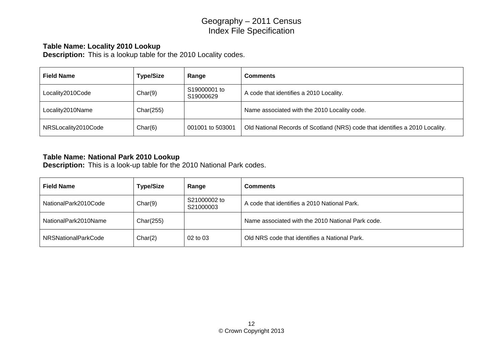#### **Table Name: Locality 2010 Lookup**

**Description:** This is a lookup table for the 2010 Locality codes.

| <b>Field Name</b>   | <b>Type/Size</b> | Range                     | <b>Comments</b>                                                              |
|---------------------|------------------|---------------------------|------------------------------------------------------------------------------|
| Locality2010Code    | Char(9)          | S19000001 to<br>S19000629 | A code that identifies a 2010 Locality.                                      |
| Locality2010Name    | Char(255)        |                           | Name associated with the 2010 Locality code.                                 |
| NRSLocality2010Code | Char(6)          | 001001 to 503001          | Old National Records of Scotland (NRS) code that identifies a 2010 Locality. |

#### **Table Name: National Park 2010 Lookup**

**Description:** This is a look-up table for the 2010 National Park codes.

| <b>Field Name</b>          | <b>Type/Size</b> | Range                     | <b>Comments</b>                                   |
|----------------------------|------------------|---------------------------|---------------------------------------------------|
| NationalPark2010Code       | Char(9)          | S21000002 to<br>S21000003 | A code that identifies a 2010 National Park.      |
| NationalPark2010Name       | Char(255)        |                           | Name associated with the 2010 National Park code. |
| <b>NRSNationalParkCode</b> | Char(2)          | 02 to 03                  | Old NRS code that identifies a National Park.     |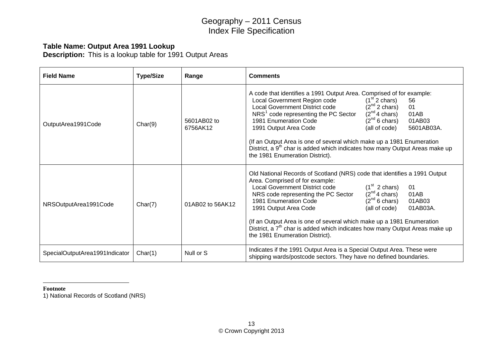### **Table Name: Output Area 1991 Lookup**

**Description:** This is a lookup table for 1991 Output Areas

| <b>Field Name</b>              | <b>Type/Size</b> | Range                   | <b>Comments</b>                                                                                                                                                                                                                                                                                                                                                                                                                                                                                                                                                                                                                           |
|--------------------------------|------------------|-------------------------|-------------------------------------------------------------------------------------------------------------------------------------------------------------------------------------------------------------------------------------------------------------------------------------------------------------------------------------------------------------------------------------------------------------------------------------------------------------------------------------------------------------------------------------------------------------------------------------------------------------------------------------------|
| OutputArea1991Code             | Char(9)          | 5601AB02 to<br>6756AK12 | A code that identifies a 1991 Output Area. Comprised of for example:<br>$(1st 2 \text{ chars})$<br>Local Government Region code<br>56<br>$(2nd 2 \text{ chars})$<br><b>Local Government District code</b><br>01<br>$(2^{nd} 4 \text{ chars})$<br>NRS <sup>1</sup> code representing the PC Sector<br>01AB<br>$(2^{nd} 6 \text{ chars})$<br>1981 Enumeration Code<br>01AB03<br>5601AB03A.<br>1991 Output Area Code<br>(all of code)<br>(If an Output Area is one of several which make up a 1981 Enumeration<br>District, a 9 <sup>th</sup> char is added which indicates how many Output Areas make up<br>the 1981 Enumeration District). |
| NRSOutputArea1991Code          | Char(7)          | 01AB02 to 56AK12        | Old National Records of Scotland (NRS) code that identifies a 1991 Output<br>Area. Comprised of for example:<br>$(1st 2 \text{ chars})$<br><b>Local Government District code</b><br>01<br>$(2^{nd} 4 \text{ chars})$<br>01AB<br>NRS code representing the PC Sector<br>$(2^{nd} 6 \text{ chars})$<br>01AB03<br>1981 Enumeration Code<br>1991 Output Area Code<br>01AB03A.<br>(all of code)<br>(If an Output Area is one of several which make up a 1981 Enumeration<br>District, a 7 <sup>th</sup> char is added which indicates how many Output Areas make up<br>the 1981 Enumeration District).                                         |
| SpecialOutputArea1991Indicator | Char(1)          | Null or S               | Indicates if the 1991 Output Area is a Special Output Area. These were<br>shipping wards/postcode sectors. They have no defined boundaries.                                                                                                                                                                                                                                                                                                                                                                                                                                                                                               |

#### **Footnote**

<span id="page-12-0"></span>1) National Records of Scotland (NRS)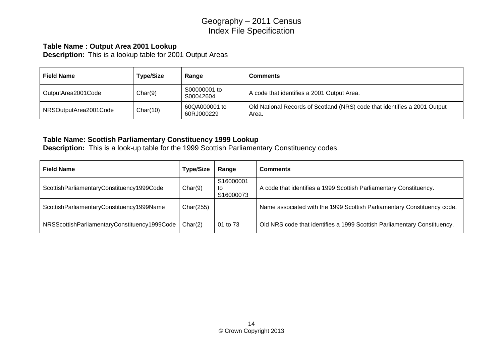### **Table Name : Output Area 2001 Lookup**

**Description:** This is a lookup table for 2001 Output Areas

| <b>Field Name</b>     | <b>Type/Size</b> | Range                       | <b>Comments</b>                                                                    |
|-----------------------|------------------|-----------------------------|------------------------------------------------------------------------------------|
| OutputArea2001Code    | Char(9)          | S00000001 to<br>S00042604   | A code that identifies a 2001 Output Area.                                         |
| NRSOutputArea2001Code | Char(10)         | 60QA000001 to<br>60RJ000229 | Old National Records of Scotland (NRS) code that identifies a 2001 Output<br>Area. |

### **Table Name: Scottish Parliamentary Constituency 1999 Lookup**

**Description:** This is a look-up table for the 1999 Scottish Parliamentary Constituency codes.

| <b>Field Name</b>                            | <b>Type/Size</b> | Range                        | <b>Comments</b>                                                          |
|----------------------------------------------|------------------|------------------------------|--------------------------------------------------------------------------|
| ScottishParliamentaryConstituency1999Code    | Char(9)          | S16000001<br>to<br>S16000073 | A code that identifies a 1999 Scottish Parliamentary Constituency.       |
| ScottishParliamentaryConstituency1999Name    | Char(255)        |                              | Name associated with the 1999 Scottish Parliamentary Constituency code.  |
| NRSScottishParliamentaryConstituency1999Code | Char(2)          | 01 to 73                     | Old NRS code that identifies a 1999 Scottish Parliamentary Constituency. |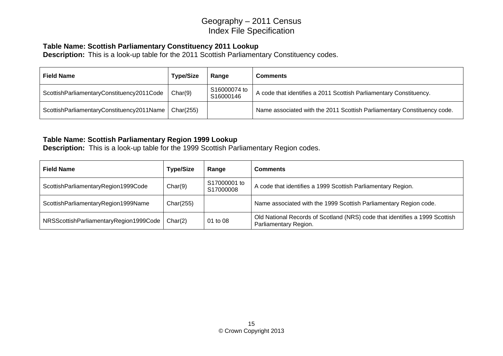### **Table Name: Scottish Parliamentary Constituency 2011 Lookup**

**Description:** This is a look-up table for the 2011 Scottish Parliamentary Constituency codes.

| <b>Field Name</b>                         | <b>Type/Size</b> | Range                     | <b>Comments</b>                                                         |
|-------------------------------------------|------------------|---------------------------|-------------------------------------------------------------------------|
| ScottishParliamentaryConstituency2011Code | Char(9)          | S16000074 to<br>S16000146 | A code that identifies a 2011 Scottish Parliamentary Constituency.      |
| ScottishParliamentaryConstituency2011Name | Char(255)        |                           | Name associated with the 2011 Scottish Parliamentary Constituency code. |

### **Table Name: Scottish Parliamentary Region 1999 Lookup**

**Description:** This is a look-up table for the 1999 Scottish Parliamentary Region codes.

| <b>Field Name</b>                      | <b>Type/Size</b> | Range                     | <b>Comments</b>                                                                                      |
|----------------------------------------|------------------|---------------------------|------------------------------------------------------------------------------------------------------|
| ScottishParliamentaryRegion1999Code    | Char(9)          | S17000001 to<br>S17000008 | A code that identifies a 1999 Scottish Parliamentary Region.                                         |
| ScottishParliamentaryRegion1999Name    | Char(255)        |                           | Name associated with the 1999 Scottish Parliamentary Region code.                                    |
| NRSScottishParliamentaryRegion1999Code | Char(2)          | 01 to 08                  | Old National Records of Scotland (NRS) code that identifies a 1999 Scottish<br>Parliamentary Region. |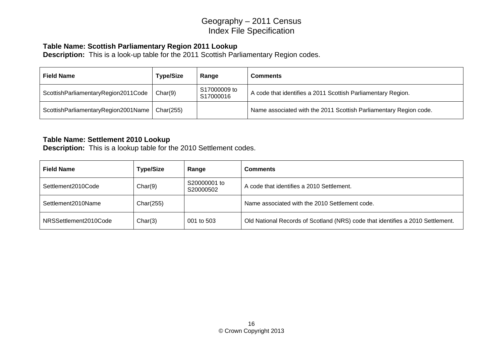### **Table Name: Scottish Parliamentary Region 2011 Lookup**

**Description:** This is a look-up table for the 2011 Scottish Parliamentary Region codes.

| <b>Field Name</b>                   | <b>Type/Size</b> | Range                     | <b>Comments</b>                                                   |
|-------------------------------------|------------------|---------------------------|-------------------------------------------------------------------|
| ScottishParliamentaryRegion2011Code | Char(9)          | S17000009 to<br>S17000016 | A code that identifies a 2011 Scottish Parliamentary Region.      |
| ScottishParliamentaryRegion2001Name | Char(255)        |                           | Name associated with the 2011 Scottish Parliamentary Region code. |

#### **Table Name: Settlement 2010 Lookup**

**Description:** This is a lookup table for the 2010 Settlement codes.

| <b>Field Name</b>     | <b>Type/Size</b> | Range                     | <b>Comments</b>                                                                |
|-----------------------|------------------|---------------------------|--------------------------------------------------------------------------------|
| Settlement2010Code    | Char(9)          | S20000001 to<br>S20000502 | A code that identifies a 2010 Settlement.                                      |
| Settlement2010Name    | Char(255)        |                           | Name associated with the 2010 Settlement code.                                 |
| NRSSettlement2010Code | Char(3)          | 001 to 503                | Old National Records of Scotland (NRS) code that identifies a 2010 Settlement. |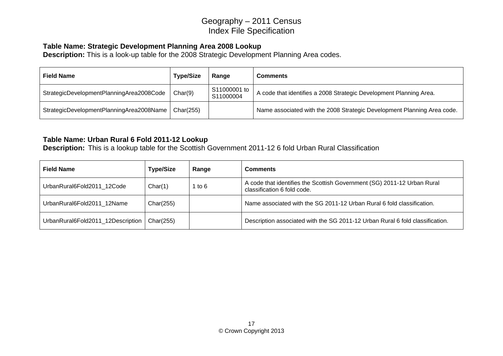#### **Table Name: Strategic Development Planning Area 2008 Lookup**

**Description:** This is a look-up table for the 2008 Strategic Development Planning Area codes.

| <b>Field Name</b>                        | <b>Type/Size</b> | Range                     | <b>Comments</b>                                                         |
|------------------------------------------|------------------|---------------------------|-------------------------------------------------------------------------|
| StrategicDevelopmentPlanningArea2008Code | Char(9)          | S11000001 to<br>S11000004 | A code that identifies a 2008 Strategic Development Planning Area.      |
| StrategicDevelopmentPlanningArea2008Name | Char(255)        |                           | Name associated with the 2008 Strategic Development Planning Area code. |

### **Table Name: Urban Rural 6 Fold 2011-12 Lookup**

**Description:** This is a lookup table for the Scottish Government 2011-12 6 fold Urban Rural Classification

| <b>Field Name</b>                 | <b>Type/Size</b> | Range    | <b>Comments</b>                                                                                        |
|-----------------------------------|------------------|----------|--------------------------------------------------------------------------------------------------------|
| UrbanRural6Fold2011 12Code        | Char(1)          | 1 to $6$ | A code that identifies the Scottish Government (SG) 2011-12 Urban Rural<br>classification 6 fold code. |
| UrbanRural6Fold2011 12Name        | Char(255)        |          | Name associated with the SG 2011-12 Urban Rural 6 fold classification.                                 |
| UrbanRural6Fold2011_12Description | Char(255)        |          | Description associated with the SG 2011-12 Urban Rural 6 fold classification.                          |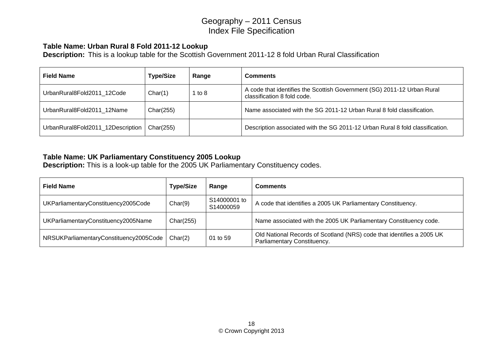#### **Table Name: Urban Rural 8 Fold 2011-12 Lookup**

**Description:** This is a lookup table for the Scottish Government 2011-12 8 fold Urban Rural Classification

| <b>Field Name</b>                 | <b>Type/Size</b> | Range    | <b>Comments</b>                                                                                        |
|-----------------------------------|------------------|----------|--------------------------------------------------------------------------------------------------------|
| UrbanRural8Fold2011 12Code        | Char(1)          | 1 to $8$ | A code that identifies the Scottish Government (SG) 2011-12 Urban Rural<br>classification 8 fold code. |
| UrbanRural8Fold2011 12Name        | Char(255)        |          | Name associated with the SG 2011-12 Urban Rural 8 fold classification.                                 |
| UrbanRural8Fold2011_12Description | Char(255)        |          | Description associated with the SG 2011-12 Urban Rural 8 fold classification.                          |

#### **Table Name: UK Parliamentary Constituency 2005 Lookup**

**Description:** This is a look-up table for the 2005 UK Parliamentary Constituency codes.

| <b>Field Name</b>                      | <b>Type/Size</b> | Range                     | <b>Comments</b>                                                                                      |
|----------------------------------------|------------------|---------------------------|------------------------------------------------------------------------------------------------------|
| UKParliamentaryConstituency2005Code    | Char(9)          | S14000001 to<br>S14000059 | A code that identifies a 2005 UK Parliamentary Constituency.                                         |
| UKParliamentaryConstituency2005Name    | Char(255)        |                           | Name associated with the 2005 UK Parliamentary Constituency code.                                    |
| NRSUKParliamentaryConstituency2005Code | Char(2)          | 01 to 59                  | Old National Records of Scotland (NRS) code that identifies a 2005 UK<br>Parliamentary Constituency. |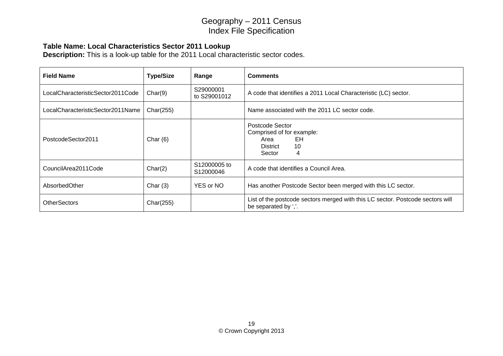### **Table Name: Local Characteristics Sector 2011 Lookup**

**Description:** This is a look-up table for the 2011 Local characteristic sector codes.

| <b>Field Name</b>                 | <b>Type/Size</b> | Range                                 | <b>Comments</b>                                                                                        |
|-----------------------------------|------------------|---------------------------------------|--------------------------------------------------------------------------------------------------------|
| LocalCharacteristicSector2011Code | Char(9)          | S29000001<br>to S29001012             | A code that identifies a 2011 Local Characteristic (LC) sector.                                        |
| LocalCharacteristicSector2011Name | Char(255)        |                                       | Name associated with the 2011 LC sector code.                                                          |
| PostcodeSector2011                | Char $(6)$       |                                       | Postcode Sector<br>Comprised of for example:<br>EH<br>Area<br>10<br>District<br>Sector<br>4            |
| CouncilArea2011Code               | Char(2)          | S12000005 to<br>S <sub>12000046</sub> | A code that identifies a Council Area.                                                                 |
| AbsorbedOther                     | Char $(3)$       | YES or NO                             | Has another Postcode Sector been merged with this LC sector.                                           |
| <b>OtherSectors</b>               | Char(255)        |                                       | List of the postcode sectors merged with this LC sector. Postcode sectors will<br>be separated by ','. |